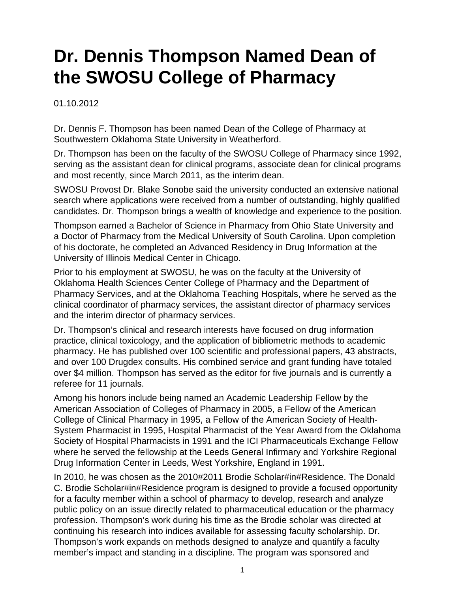## **Dr. Dennis Thompson Named Dean of the SWOSU College of Pharmacy**

01.10.2012

Dr. Dennis F. Thompson has been named Dean of the College of Pharmacy at Southwestern Oklahoma State University in Weatherford.

Dr. Thompson has been on the faculty of the SWOSU College of Pharmacy since 1992, serving as the assistant dean for clinical programs, associate dean for clinical programs and most recently, since March 2011, as the interim dean.

SWOSU Provost Dr. Blake Sonobe said the university conducted an extensive national search where applications were received from a number of outstanding, highly qualified candidates. Dr. Thompson brings a wealth of knowledge and experience to the position.

Thompson earned a Bachelor of Science in Pharmacy from Ohio State University and a Doctor of Pharmacy from the Medical University of South Carolina. Upon completion of his doctorate, he completed an Advanced Residency in Drug Information at the University of Illinois Medical Center in Chicago.

Prior to his employment at SWOSU, he was on the faculty at the University of Oklahoma Health Sciences Center College of Pharmacy and the Department of Pharmacy Services, and at the Oklahoma Teaching Hospitals, where he served as the clinical coordinator of pharmacy services, the assistant director of pharmacy services and the interim director of pharmacy services.

Dr. Thompson's clinical and research interests have focused on drug information practice, clinical toxicology, and the application of bibliometric methods to academic pharmacy. He has published over 100 scientific and professional papers, 43 abstracts, and over 100 Drugdex consults. His combined service and grant funding have totaled over \$4 million. Thompson has served as the editor for five journals and is currently a referee for 11 journals.

Among his honors include being named an Academic Leadership Fellow by the American Association of Colleges of Pharmacy in 2005, a Fellow of the American College of Clinical Pharmacy in 1995, a Fellow of the American Society of Health-System Pharmacist in 1995, Hospital Pharmacist of the Year Award from the Oklahoma Society of Hospital Pharmacists in 1991 and the ICI Pharmaceuticals Exchange Fellow where he served the fellowship at the Leeds General Infirmary and Yorkshire Regional Drug Information Center in Leeds, West Yorkshire, England in 1991.

In 2010, he was chosen as the 2010#2011 Brodie Scholar#in#Residence. The Donald C. Brodie Scholar#in#Residence program is designed to provide a focused opportunity for a faculty member within a school of pharmacy to develop, research and analyze public policy on an issue directly related to pharmaceutical education or the pharmacy profession. Thompson's work during his time as the Brodie scholar was directed at continuing his research into indices available for assessing faculty scholarship. Dr. Thompson's work expands on methods designed to analyze and quantify a faculty member's impact and standing in a discipline. The program was sponsored and